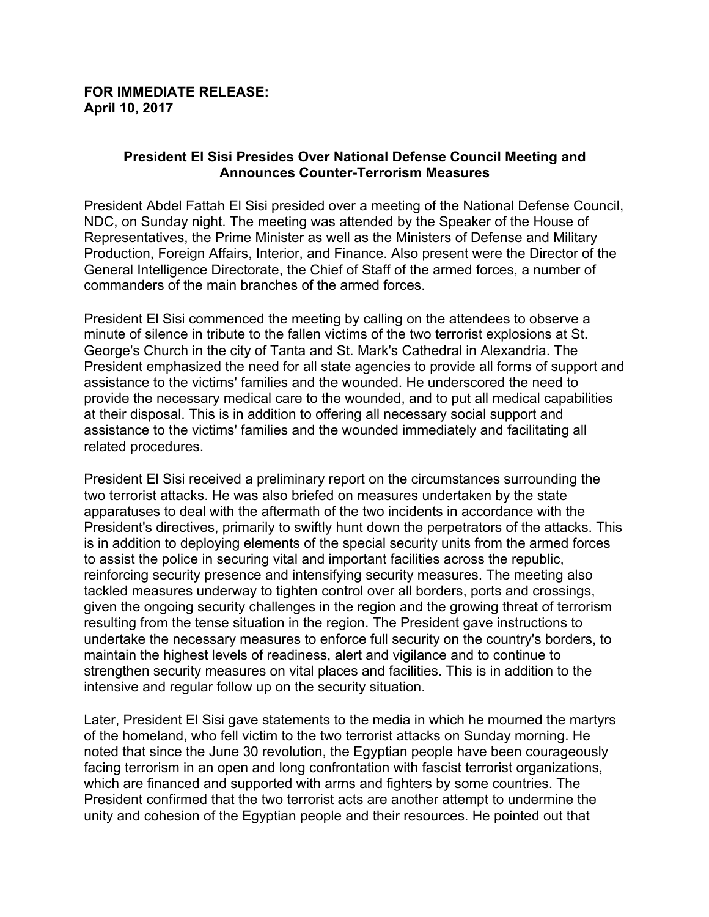## **FOR IMMEDIATE RELEASE: April 10, 2017**

## **President El Sisi Presides Over National Defense Council Meeting and Announces Counter-Terrorism Measures**

President Abdel Fattah El Sisi presided over a meeting of the National Defense Council, NDC, on Sunday night. The meeting was attended by the Speaker of the House of Representatives, the Prime Minister as well as the Ministers of Defense and Military Production, Foreign Affairs, Interior, and Finance. Also present were the Director of the General Intelligence Directorate, the Chief of Staff of the armed forces, a number of commanders of the main branches of the armed forces.

President El Sisi commenced the meeting by calling on the attendees to observe a minute of silence in tribute to the fallen victims of the two terrorist explosions at St. George's Church in the city of Tanta and St. Mark's Cathedral in Alexandria. The President emphasized the need for all state agencies to provide all forms of support and assistance to the victims' families and the wounded. He underscored the need to provide the necessary medical care to the wounded, and to put all medical capabilities at their disposal. This is in addition to offering all necessary social support and assistance to the victims' families and the wounded immediately and facilitating all related procedures.

President El Sisi received a preliminary report on the circumstances surrounding the two terrorist attacks. He was also briefed on measures undertaken by the state apparatuses to deal with the aftermath of the two incidents in accordance with the President's directives, primarily to swiftly hunt down the perpetrators of the attacks. This is in addition to deploying elements of the special security units from the armed forces to assist the police in securing vital and important facilities across the republic, reinforcing security presence and intensifying security measures. The meeting also tackled measures underway to tighten control over all borders, ports and crossings, given the ongoing security challenges in the region and the growing threat of terrorism resulting from the tense situation in the region. The President gave instructions to undertake the necessary measures to enforce full security on the country's borders, to maintain the highest levels of readiness, alert and vigilance and to continue to strengthen security measures on vital places and facilities. This is in addition to the intensive and regular follow up on the security situation.

Later, President El Sisi gave statements to the media in which he mourned the martyrs of the homeland, who fell victim to the two terrorist attacks on Sunday morning. He noted that since the June 30 revolution, the Egyptian people have been courageously facing terrorism in an open and long confrontation with fascist terrorist organizations, which are financed and supported with arms and fighters by some countries. The President confirmed that the two terrorist acts are another attempt to undermine the unity and cohesion of the Egyptian people and their resources. He pointed out that